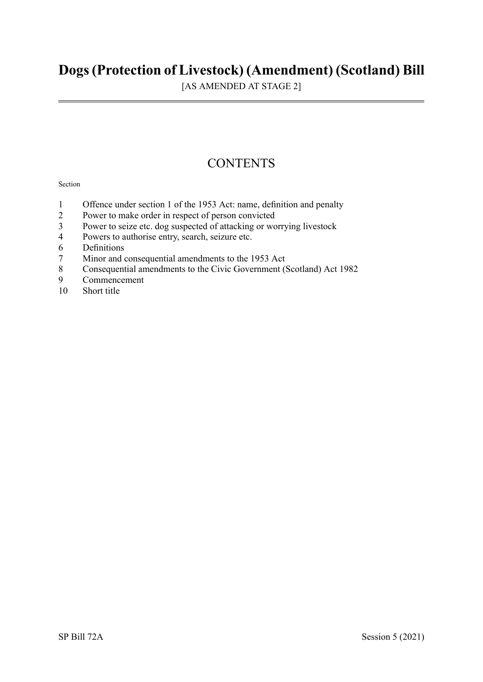# **Dogs(Protection of Livestock) (Amendment) (Scotland) Bill**

[AS AMENDED AT STAGE 2]

# **CONTENTS**

#### Section

- 1 Offence under section 1 of the 1953 Act: name, definition and penalty
- 2 Power to make order in respect of person convicted<br>3 Power to seize etc. dog suspected of attacking or wo
- 3 Power to seize etc. dog suspected of attacking or worrying livestock<br>4 Powers to authorise entry search seizure etc
- Powers to authorise entry, search, seizure etc.
- 6 Definitions
- 7 Minor and consequential amendments to the 1953 Act
- 8 Consequential amendments to the Civic Government (Scotland) Act 1982<br>9 Commencement
- **Commencement**
- 10 Short title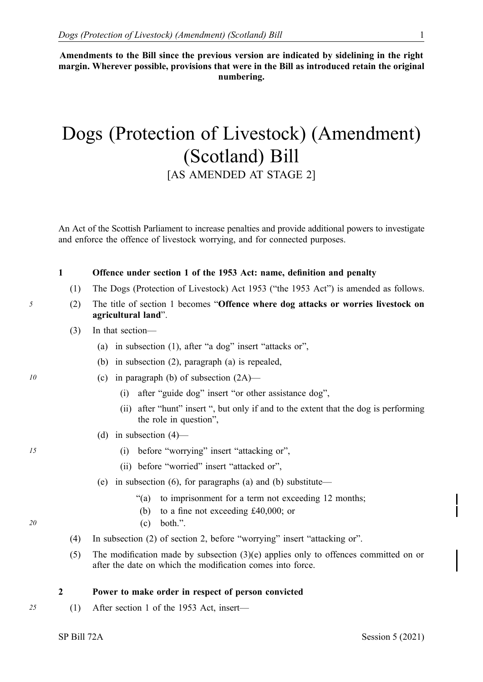**Amendments to the Bill since the previous version are indicated by sidelining in the right margin. Wherever possible, provisions that were in the Bill as introduced retain the original numbering.** 

# Dogs (Protection of Livestock) (Amendment) (Scotland) Bill [AS AMENDED AT STAGE 2]

An Act of the Scottish Parliament to increase penalties and provide additional powers to investigate and enforce the offence of livestock worrying, and for connected purposes.

#### **1 Offence under section 1 of the 1953 Act: name, definition and penalty**

- (1) The Dogs (Protection of Livestock) Act 1953 ("the 1953 Act") is amended as follows.
- *5* (2) The title of section 1 becomes "**Offence where dog attacks or worries livestock on agricultural land**".
	- (3) In that section—
		- (a) in subsection (1), after "a dog" insert "attacks or",
		- (b) in subsection (2), paragraph (a) is repealed,
- *10* (c) in paragraph (b) of subsection (2A)—
	- (i) after "guide dog" insert "or other assistance dog",
	- (ii) after "hunt" insert ", but only if and to the extent that the dog is performing the role in question",
	- (d) in subsection  $(4)$ —
- *15* (i) before "worrying" insert "attacking or",
	- (ii) before "worried" insert "attacked or",
	- (e) in subsection (6), for paragraphs (a) and (b) substitute—
		- "(a) to imprisonment for a term not exceeding 12 months;
		- (b) to a fine not exceeding £40,000; or
- *20* (c) both.".
	- (4) In subsection (2) of section 2, before "worrying" insert "attacking or".
	- (5) The modification made by subsection (3)(e) applies only to offences committed on or after the date on which the modification comes into force.

#### **2 Power to make order in respect of person convicted**

*25* (1) After section 1 of the 1953 Act, insert—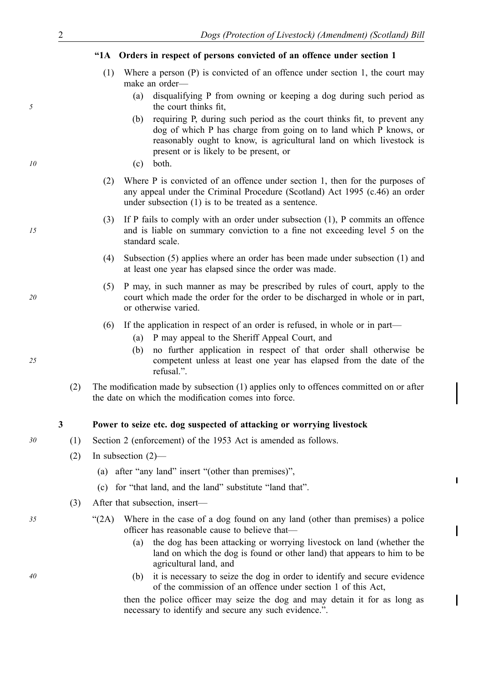| 2  |                      | Dogs (Protection of Livestock) (Amendment) (Scotland) Bill                                       |                                                                                                                                                                                                                                                                |  |
|----|----------------------|--------------------------------------------------------------------------------------------------|----------------------------------------------------------------------------------------------------------------------------------------------------------------------------------------------------------------------------------------------------------------|--|
|    | $^{\prime\prime}$ 1A |                                                                                                  | Orders in respect of persons convicted of an offence under section 1                                                                                                                                                                                           |  |
|    | (1)                  | Where a person $(P)$ is convicted of an offence under section 1, the court may<br>make an order— |                                                                                                                                                                                                                                                                |  |
| 5  |                      | (a)                                                                                              | disqualifying P from owning or keeping a dog during such period as<br>the court thinks fit,                                                                                                                                                                    |  |
|    |                      | (b)                                                                                              | requiring P, during such period as the court thinks fit, to prevent any<br>dog of which P has charge from going on to land which P knows, or<br>reasonably ought to know, is agricultural land on which livestock is<br>present or is likely to be present, or |  |
| 10 |                      | (c)                                                                                              | both.                                                                                                                                                                                                                                                          |  |
|    | (2)                  |                                                                                                  | Where $P$ is convicted of an offence under section 1, then for the purposes of<br>any appeal under the Criminal Procedure (Scotland) Act 1995 (c.46) an order<br>under subsection $(1)$ is to be treated as a sentence.                                        |  |
| 15 | (3)                  |                                                                                                  | If P fails to comply with an order under subsection $(1)$ , P commits an offence<br>and is liable on summary conviction to a fine not exceeding level 5 on the                                                                                                 |  |

- (4) Subsection (5) applies where an order has been made under subsection (1) and at least one year has elapsed since the order was made.
- (5) P may, in such manner as may be prescribed by rules of court, apply to the court which made the order for the order to be discharged in whole or in part, or otherwise varied.
- (6) If the application in respect of an order is refused, in whole or in part—
	- (a) P may appeal to the Sheriff Appeal Court, and
	- (b) no further application in respect of that order shall otherwise be competent unless at least one year has elapsed from the date of the refusal.".
- (2) The modification made by subsection (1) applies only to offences committed on or after the date on which the modification comes into force.

#### **3 Power to seize etc. dog suspected of attacking or worrying livestock**

- *30* (1) Section 2 (enforcement) of the 1953 Act is amended as follows.
	- (2) In subsection (2)—
		- (a) after "any land" insert "(other than premises)",
		- (c) for "that land, and the land" substitute "land that".
	- (3) After that subsection, insert—

standard scale.

- *35* "(2A) Where in the case of a dog found on any land (other than premises) a police officer has reasonable cause to believe that—
	- (a) the dog has been attacking or worrying livestock on land (whether the land on which the dog is found or other land) that appears to him to be agricultural land, and

 $\blacksquare$ 

*40* (b) it is necessary to seize the dog in order to identify and secure evidence of the commission of an offence under section 1 of this Act,

> then the police officer may seize the dog and may detain it for as long as necessary to identify and secure any such evidence.".

*5* 

*25* 

*20* 

*15*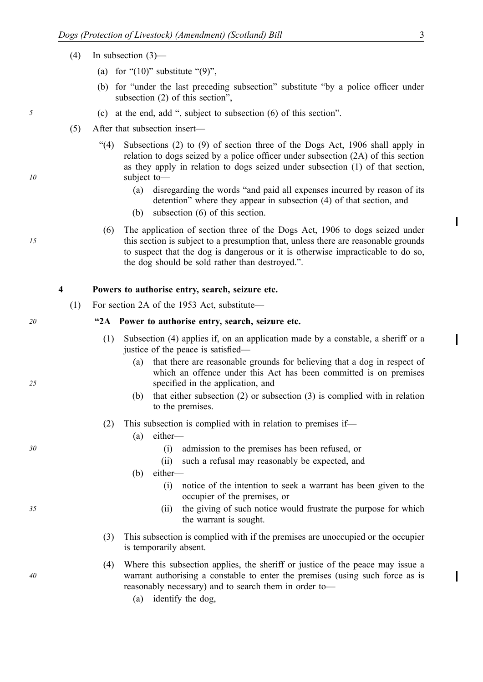- (4) In subsection (3)—
	- (a) for " $(10)$ " substitute " $(9)$ ",
	- (b) for "under the last preceding subsection" substitute "by a police officer under subsection (2) of this section",
- *5* (c) at the end, add ", subject to subsection (6) of this section".
	- (5) After that subsection insert—
		- "(4) Subsections (2) to (9) of section three of the Dogs Act, 1906 shall apply in relation to dogs seized by a police officer under subsection (2A) of this section as they apply in relation to dogs seized under subsection (1) of that section, subject to—
			- (a) disregarding the words "and paid all expenses incurred by reason of its detention" where they appear in subsection (4) of that section, and
			- (b) subsection (6) of this section.
		- (6) The application of section three of the Dogs Act, 1906 to dogs seized under this section is subject to a presumption that, unless there are reasonable grounds to suspect that the dog is dangerous or it is otherwise impracticable to do so, the dog should be sold rather than destroyed.".

#### **4 Powers to authorise entry, search, seizure etc.**

(1) For section 2A of the 1953 Act, substitute—

#### *20* **"2A Power to authorise entry, search, seizure etc.**

- (1) Subsection (4) applies if, on an application made by a constable, a sheriff or a justice of the peace is satisfied—
	- (a) that there are reasonable grounds for believing that a dog in respect of which an offence under this Act has been committed is on premises specified in the application, and
	- (b) that either subsection (2) or subsection (3) is complied with in relation to the premises.
- (2) This subsection is complied with in relation to premises if—
	- (a) either—
- *30* (i) admission to the premises has been refused, or
	- (ii) such a refusal may reasonably be expected, and
	- (b) either—
		- (i) notice of the intention to seek a warrant has been given to the occupier of the premises, or
- *35* (ii) the giving of such notice would frustrate the purpose for which the warrant is sought.
	- (3) This subsection is complied with if the premises are unoccupied or the occupier is temporarily absent.
	- (4) Where this subsection applies, the sheriff or justice of the peace may issue a warrant authorising a constable to enter the premises (using such force as is reasonably necessary) and to search them in order to—
		- (a) identify the dog,

*10* 

*15* 

*25* 

*40* 

Γ

I

 $\mathbf I$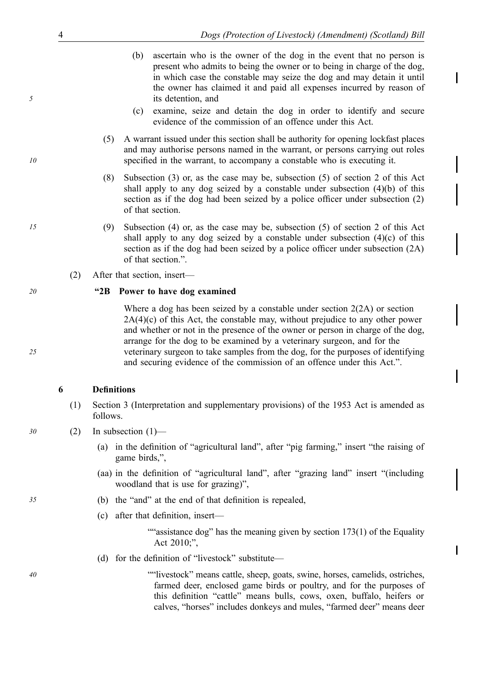- (b) ascertain who is the owner of the dog in the event that no person is present who admits to being the owner or to being in charge of the dog, in which case the constable may seize the dog and may detain it until the owner has claimed it and paid all expenses incurred by reason of its detention, and
- (c) examine, seize and detain the dog in order to identify and secure evidence of the commission of an offence under this Act.
- (5) A warrant issued under this section shall be authority for opening lockfast places and may authorise persons named in the warrant, or persons carrying out roles specified in the warrant, to accompany a constable who is executing it.
- (8) Subsection (3) or, as the case may be, subsection (5) of section 2 of this Act shall apply to any dog seized by a constable under subsection (4)(b) of this section as if the dog had been seized by a police officer under subsection (2) of that section.
- *15* (9) Subsection (4) or, as the case may be, subsection (5) of section 2 of this Act shall apply to any dog seized by a constable under subsection  $(4)(c)$  of this section as if the dog had been seized by a police officer under subsection (2A) of that section.".
	- (2) After that section, insert—

#### *20* **"2B Power to have dog examined**

Where a dog has been seized by a constable under section 2(2A) or section  $2A(4)(c)$  of this Act, the constable may, without prejudice to any other power and whether or not in the presence of the owner or person in charge of the dog, arrange for the dog to be examined by a veterinary surgeon, and for the veterinary surgeon to take samples from the dog, for the purposes of identifying and securing evidence of the commission of an offence under this Act.".

### **6 Definitions**

- (1) Section 3 (Interpretation and supplementary provisions) of the 1953 Act is amended as follows.
- *30* (2) In subsection (1)—
	- (a) in the definition of "agricultural land", after "pig farming," insert "the raising of game birds,",
	- (aa) in the definition of "agricultural land", after "grazing land" insert "(including woodland that is use for grazing)",
- *35* (b) the "and" at the end of that definition is repealed,
	- (c) after that definition, insert—

""assistance dog" has the meaning given by section  $173(1)$  of the Equality Act 2010;",

 $\blacksquare$ 

(d) for the definition of "livestock" substitute—

*40* ""livestock" means cattle, sheep, goats, swine, horses, camelids, ostriches, farmed deer, enclosed game birds or poultry, and for the purposes of this definition "cattle" means bulls, cows, oxen, buffalo, heifers or calves, "horses" includes donkeys and mules, "farmed deer" means deer

*10* 

*5* 

*25*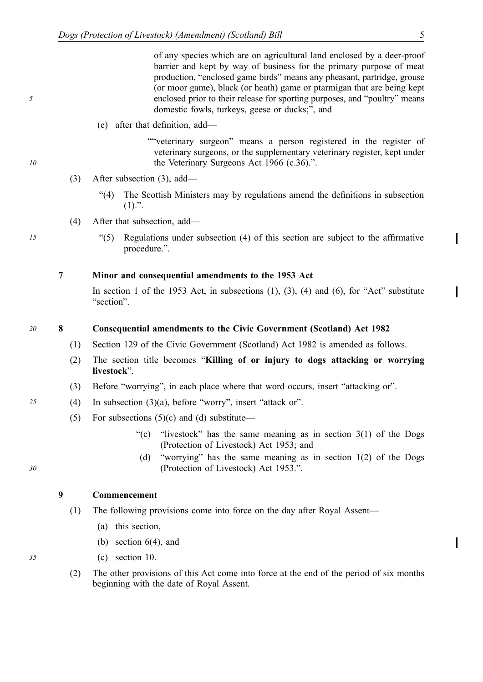of any species which are on agricultural land enclosed by a deer-proof barrier and kept by way of business for the primary purpose of meat production, "enclosed game birds" means any pheasant, partridge, grouse (or moor game), black (or heath) game or ptarmigan that are being kept enclosed prior to their release for sporting purposes, and "poultry" means domestic fowls, turkeys, geese or ducks;", and

(e) after that definition, add—

""veterinary surgeon" means a person registered in the register of veterinary surgeons, or the supplementary veterinary register, kept under the Veterinary Surgeons Act 1966 (c.36).".

- (3) After subsection (3), add—
	- "(4) The Scottish Ministers may by regulations amend the definitions in subsection  $(1).$ ".
- (4) After that subsection, add—
- *15* "(5) Regulations under subsection (4) of this section are subject to the affirmative procedure.".

**7 Minor and consequential amendments to the 1953 Act** 

In section 1 of the 1953 Act, in subsections  $(1)$ ,  $(3)$ ,  $(4)$  and  $(6)$ , for "Act" substitute "section".

#### *20* **8 Consequential amendments to the Civic Government (Scotland) Act 1982**

- (1) Section 129 of the Civic Government (Scotland) Act 1982 is amended as follows.
- (2) The section title becomes "**Killing of or injury to dogs attacking or worrying livestock**".
- (3) Before "worrying", in each place where that word occurs, insert "attacking or".
- *25* (4) In subsection (3)(a), before "worry", insert "attack or".
	- (5) For subsections  $(5)(c)$  and  $(d)$  substitute—
		- "(c) "livestock" has the same meaning as in section  $3(1)$  of the Dogs (Protection of Livestock) Act 1953; and
		- (d) "worrying" has the same meaning as in section 1(2) of the Dogs (Protection of Livestock) Act 1953.".

#### **9 Commencement**

- (1) The following provisions come into force on the day after Royal Assent—
	- (a) this section,
	- (b) section 6(4), and
- *35* (c) section 10.
	- (2) The other provisions of this Act come into force at the end of the period of six months beginning with the date of Royal Assent.

*30* 

*10* 

*5*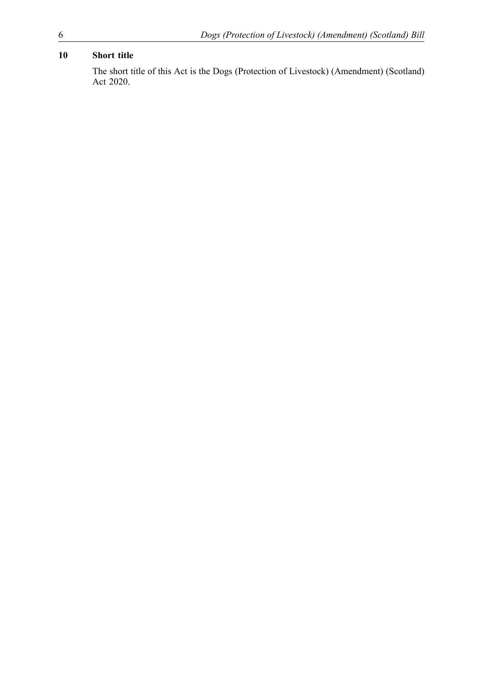## **10 Short title**

The short title of this Act is the Dogs (Protection of Livestock) (Amendment) (Scotland) Act 2020.